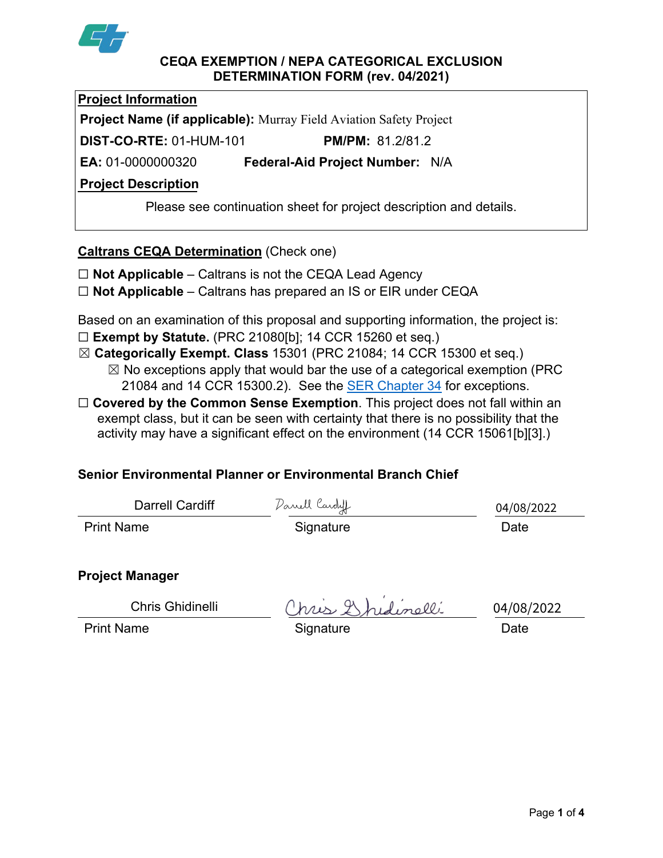

#### **CEQA EXEMPTION / NEPA CATEGORICAL EXCLUSION DETERMINATION FORM (rev. 04/2021)**

**Project Information**

**Project Name (if applicable):** Murray Field Aviation Safety Project

**DIST-CO-RTE:** 01-HUM-101 **PM/PM:** 81.2/81.2

**EA:** 01-0000000320 **Federal-Aid Project Number:** N/A

# **Project Description**

Please see continuation sheet for project description and details.

# **Caltrans CEQA Determination** (Check one)

- ☐ **Not Applicable** Caltrans is not the CEQA Lead Agency
- ☐ **Not Applicable** Caltrans has prepared an IS or EIR under CEQA

Based on an examination of this proposal and supporting information, the project is: ☐ **Exempt by Statute.** (PRC 21080[b]; 14 CCR 15260 et seq.)

- ☒ **Categorically Exempt. Class** 15301 (PRC 21084; 14 CCR 15300 et seq.)
	- $\boxtimes$  No exceptions apply that would bar the use of a categorical exemption (PRC 21084 and 14 CCR 15300.2). See the **SER Chapter 34** for exceptions.
- □ **Covered by the Common Sense Exemption**. This project does not fall within an exempt class, but it can be seen with certainty that there is no possibility that the activity may have a significant effect on the environment (14 CCR 15061[b][3].)

# **Senior Environmental Planner or Environmental Branch Chief**

| Darrell Cardiff   | Danell Cardy | 04/08/2022 |
|-------------------|--------------|------------|
| <b>Print Name</b> | Signature    | Date       |

# **Project Manager**

Chris Ghidinelli

Ohris Ghidinelli<br>Print Name Gignature Date

04/08/2022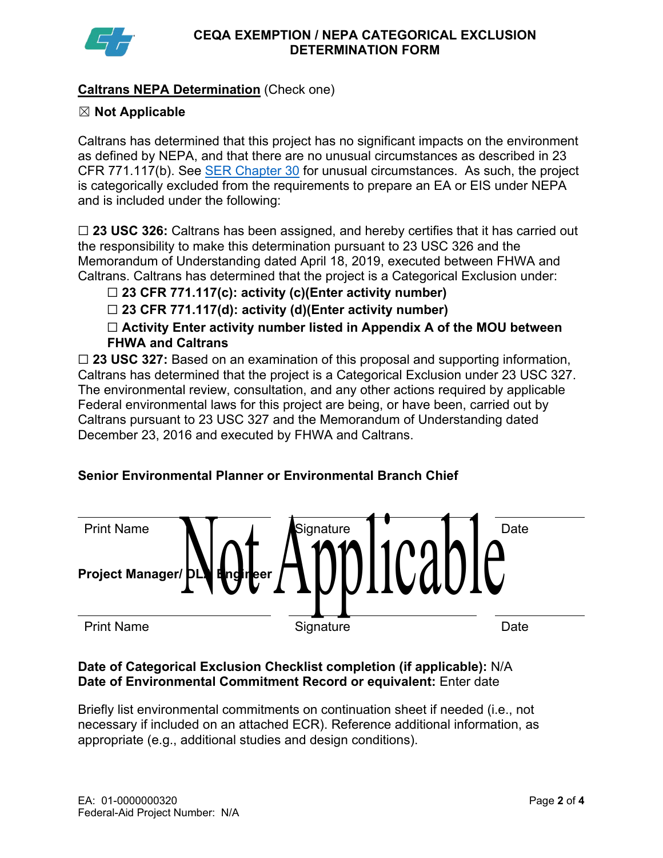

# **Caltrans NEPA Determination** (Check one)

# ☒ **Not Applicable**

Caltrans has determined that this project has no significant impacts on the environment as defined by NEPA, and that there are no unusual circumstances as described in 23 CFR 771.117(b). See [SER Chapter 30](https://dot.ca.gov/programs/environmental-analysis/standard-environmental-reference-ser/volume-1-guidance-for-compliance/ch-30-categorical-exclusions#exception) for unusual circumstances. As such, the project is categorically excluded from the requirements to prepare an EA or EIS under NEPA and is included under the following:

☐ **23 USC 326:** Caltrans has been assigned, and hereby certifies that it has carried out the responsibility to make this determination pursuant to 23 USC 326 and the Memorandum of Understanding dated April 18, 2019, executed between FHWA and Caltrans. Caltrans has determined that the project is a Categorical Exclusion under:

☐ **23 CFR 771.117(c): activity (c)(Enter activity number)**

☐ **23 CFR 771.117(d): activity (d)(Enter activity number)**

☐ **Activity Enter activity number listed in Appendix A of the MOU between FHWA and Caltrans**

□ 23 USC 327: Based on an examination of this proposal and supporting information, Caltrans has determined that the project is a Categorical Exclusion under 23 USC 327. The environmental review, consultation, and any other actions required by applicable Federal environmental laws for this project are being, or have been, carried out by Caltrans pursuant to 23 USC 327 and the Memorandum of Understanding dated December 23, 2016 and executed by FHWA and Caltrans.

# **Senior Environmental Planner or Environmental Branch Chief**



#### **Date of Categorical Exclusion Checklist completion (if applicable):** N/A **Date of Environmental Commitment Record or equivalent:** Enter date

Briefly list environmental commitments on continuation sheet if needed (i.e., not necessary if included on an attached ECR). Reference additional information, as appropriate (e.g., additional studies and design conditions).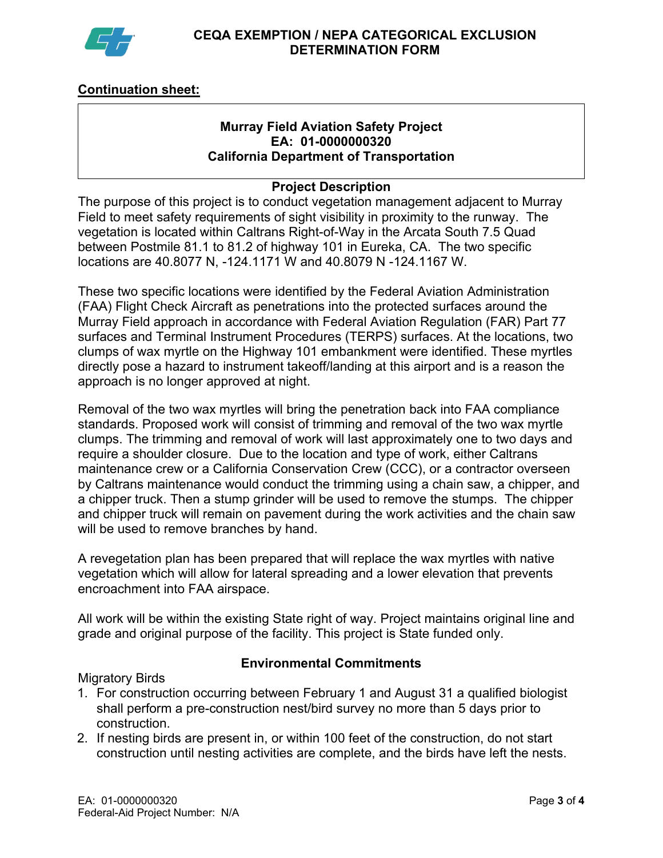

# **Continuation sheet:**

#### **Murray Field Aviation Safety Project EA: 01-0000000320 California Department of Transportation**

#### **Project Description**

The purpose of this project is to conduct vegetation management adjacent to Murray Field to meet safety requirements of sight visibility in proximity to the runway. The vegetation is located within Caltrans Right-of-Way in the Arcata South 7.5 Quad between Postmile 81.1 to 81.2 of highway 101 in Eureka, CA. The two specific locations are 40.8077 N, -124.1171 W and 40.8079 N -124.1167 W.

These two specific locations were identified by the Federal Aviation Administration (FAA) Flight Check Aircraft as penetrations into the protected surfaces around the Murray Field approach in accordance with Federal Aviation Regulation (FAR) Part 77 surfaces and Terminal Instrument Procedures (TERPS) surfaces. At the locations, two clumps of wax myrtle on the Highway 101 embankment were identified. These myrtles directly pose a hazard to instrument takeoff/landing at this airport and is a reason the approach is no longer approved at night.

Removal of the two wax myrtles will bring the penetration back into FAA compliance standards. Proposed work will consist of trimming and removal of the two wax myrtle clumps. The trimming and removal of work will last approximately one to two days and require a shoulder closure. Due to the location and type of work, either Caltrans maintenance crew or a California Conservation Crew (CCC), or a contractor overseen by Caltrans maintenance would conduct the trimming using a chain saw, a chipper, and a chipper truck. Then a stump grinder will be used to remove the stumps. The chipper and chipper truck will remain on pavement during the work activities and the chain saw will be used to remove branches by hand.

A revegetation plan has been prepared that will replace the wax myrtles with native vegetation which will allow for lateral spreading and a lower elevation that prevents encroachment into FAA airspace.

All work will be within the existing State right of way. Project maintains original line and grade and original purpose of the facility. This project is State funded only.

#### **Environmental Commitments**

Migratory Birds

- 1. For construction occurring between February 1 and August 31 a qualified biologist shall perform a pre-construction nest/bird survey no more than 5 days prior to construction.
- 2. If nesting birds are present in, or within 100 feet of the construction, do not start construction until nesting activities are complete, and the birds have left the nests.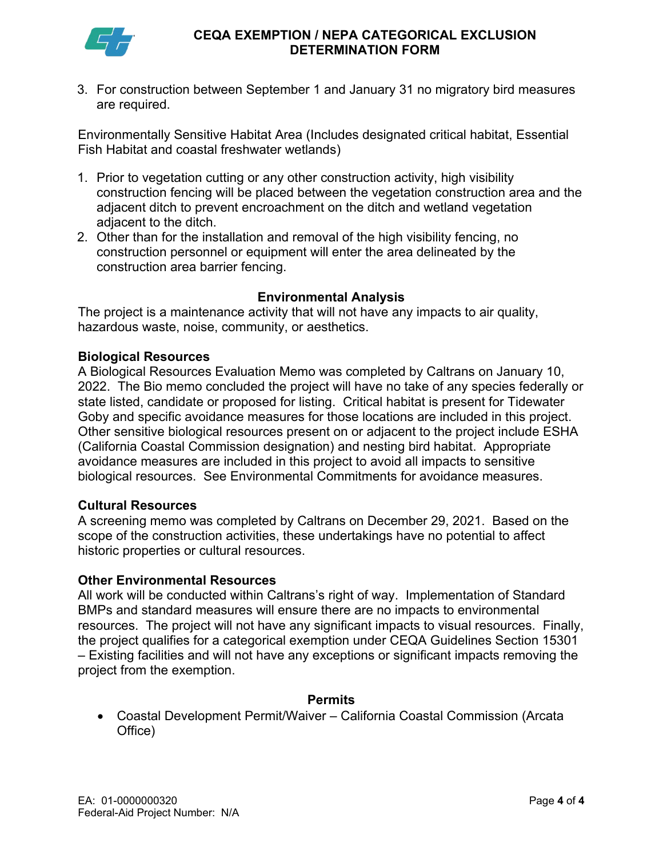

#### **CEQA EXEMPTION / NEPA CATEGORICAL EXCLUSION DETERMINATION FORM**

3. For construction between September 1 and January 31 no migratory bird measures are required.

Environmentally Sensitive Habitat Area (Includes designated critical habitat, Essential Fish Habitat and coastal freshwater wetlands)

- 1. Prior to vegetation cutting or any other construction activity, high visibility construction fencing will be placed between the vegetation construction area and the adjacent ditch to prevent encroachment on the ditch and wetland vegetation adjacent to the ditch.
- 2. Other than for the installation and removal of the high visibility fencing, no construction personnel or equipment will enter the area delineated by the construction area barrier fencing.

#### **Environmental Analysis**

The project is a maintenance activity that will not have any impacts to air quality, hazardous waste, noise, community, or aesthetics.

#### **Biological Resources**

A Biological Resources Evaluation Memo was completed by Caltrans on January 10, 2022. The Bio memo concluded the project will have no take of any species federally or state listed, candidate or proposed for listing. Critical habitat is present for Tidewater Goby and specific avoidance measures for those locations are included in this project. Other sensitive biological resources present on or adjacent to the project include ESHA (California Coastal Commission designation) and nesting bird habitat. Appropriate avoidance measures are included in this project to avoid all impacts to sensitive biological resources. See Environmental Commitments for avoidance measures.

#### **Cultural Resources**

A screening memo was completed by Caltrans on December 29, 2021. Based on the scope of the construction activities, these undertakings have no potential to affect historic properties or cultural resources.

#### **Other Environmental Resources**

All work will be conducted within Caltrans's right of way. Implementation of Standard BMPs and standard measures will ensure there are no impacts to environmental resources. The project will not have any significant impacts to visual resources. Finally, the project qualifies for a categorical exemption under CEQA Guidelines Section 15301 – Existing facilities and will not have any exceptions or significant impacts removing the project from the exemption.

#### **Permits**

• Coastal Development Permit/Waiver – California Coastal Commission (Arcata Office)